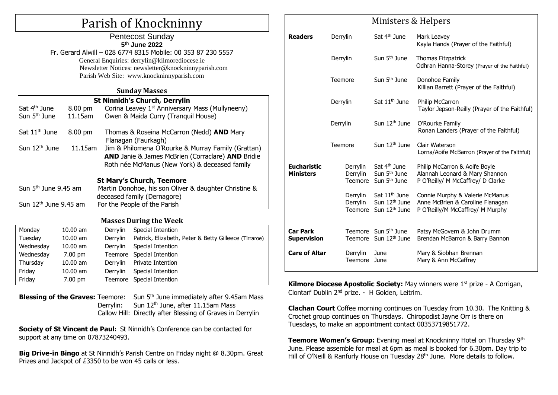# Parish of Knockninny

## Pentecost Sunday **5 th June 2022** Fr. Gerard Alwill – 028 6774 8315 Mobile: 00 353 87 230 5557 General Enquiries: [derrylin@kilmorediocese.ie](mailto:derrylin@kilmorediocese.ie) Newsletter Notices: newsletter@knockninnyparish.com Parish Web Site: www.knockninnyparish.com

### **Sunday Masses**

| <b>St Ninnidh's Church, Derrylin</b> |  |                                                                                                                                                          |  |  |  |  |
|--------------------------------------|--|----------------------------------------------------------------------------------------------------------------------------------------------------------|--|--|--|--|
| Sat 4 <sup>th</sup> June<br>8.00 pm  |  | Corina Leavey 1 <sup>st</sup> Anniversary Mass (Mullyneeny)                                                                                              |  |  |  |  |
| Sun $5th$ June<br>11.15am            |  | Owen & Maida Curry (Tranquil House)                                                                                                                      |  |  |  |  |
| Sat 11 <sup>th</sup> June<br>8.00 pm |  | Thomas & Roseina McCarron (Nedd) AND Mary<br>Flanagan (Faurkagh)                                                                                         |  |  |  |  |
| Sun 12 <sup>th</sup> June<br>11.15am |  | Jim & Philomena O'Rourke & Murray Family (Grattan)<br>AND Janie & James McBrien (Corraclare) AND Bridie<br>Roth née McManus (New York) & deceased family |  |  |  |  |
|                                      |  | <b>St Mary's Church, Teemore</b>                                                                                                                         |  |  |  |  |
| Sun $5th$ June 9.45 am               |  | Martin Donohoe, his son Oliver & daughter Christine &                                                                                                    |  |  |  |  |
|                                      |  | deceased family (Dernagore)                                                                                                                              |  |  |  |  |
| Sun 12 <sup>th</sup> June 9.45 am    |  | For the People of the Parish                                                                                                                             |  |  |  |  |

## **Masses During the Week** Monday 10.00 am Derrylin Special Intention Tuesday 10.00 am Derrylin Patrick, Elizabeth, Peter & Betty Gilleece (Tirraroe) Wednesday 10.00 am Derrylin Special Intention Wednesday 7.00 pm Teemore Special Intention Thursday 10.00 am Derrylin Private Intention Friday 10.00 am Derrylin Special Intention Friday 7.00 pm Teemore Special Intention

**Blessing of the Graves:** Teemore: Sun 5<sup>th</sup> June immediately after 9.45am Mass Derrylin: Sun 12<sup>th</sup> June, after 11.15am Mass Callow Hill: Directly after Blessing of Graves in Derrylin

**Society of St Vincent de Paul:** St Ninnidh's Conference can be contacted for support at any time on 07873240493.

**Big Drive-in Bingo** at St Ninnidh's Parish Centre on Friday night @ 8.30pm. Great Prizes and Jackpot of £3350 to be won 45 calls or less.

|                                        |          | rimoters a ficipers                    |                                                                                     |                                                                                                         |  |  |
|----------------------------------------|----------|----------------------------------------|-------------------------------------------------------------------------------------|---------------------------------------------------------------------------------------------------------|--|--|
| <b>Readers</b>                         | Derrylin |                                        | Sat 4 <sup>th</sup> June                                                            | Mark Leavey<br>Kayla Hands (Prayer of the Faithful)                                                     |  |  |
|                                        | Derrylin |                                        | Sun 5 <sup>th</sup> June                                                            | Thomas Fitzpatrick<br>Odhran Hanna-Storey (Prayer of the Faithful)                                      |  |  |
|                                        | Teemore  |                                        | Sun 5 <sup>th</sup> June                                                            | Donohoe Family<br>Killian Barrett (Prayer of the Faithful)                                              |  |  |
|                                        | Derrylin |                                        | Sat 11 <sup>th</sup> June                                                           | Philip McCarron<br>Taylor Jepson-Reilly (Prayer of the Faithful)                                        |  |  |
|                                        | Derrylin |                                        | Sun 12 <sup>th</sup> June                                                           | O'Rourke Family<br>Ronan Landers (Prayer of the Faithful)                                               |  |  |
|                                        | Teemore  |                                        | Sun $12th$ June                                                                     | Clair Waterson<br>Lorna/Aoife McBarron (Prayer of the Faithful)                                         |  |  |
| <b>Eucharistic</b><br><b>Ministers</b> |          | Derrylin<br>Derrylin<br><b>Teemore</b> | Sat 4 <sup>th</sup> June<br>Sun 5 <sup>th</sup> June<br>Sun 5 <sup>th</sup> June    | Philip McCarron & Aoife Boyle<br>Alannah Leonard & Mary Shannon<br>P O'Reilly/ M McCaffrey/ D Clarke    |  |  |
|                                        |          | Derrylin<br>Derrylin<br>Teemore        | Sat 11 <sup>th</sup> June<br>Sun 12 <sup>th</sup> June<br>Sun 12 <sup>th</sup> June | Connie Murphy & Valerie McManus<br>Anne McBrien & Caroline Flanagan<br>P O'Reilly/M McCaffrey/ M Murphy |  |  |
| <b>Car Park</b><br><b>Supervision</b>  |          |                                        | Teemore Sun 5 <sup>th</sup> June<br>Teemore Sun 12th June                           | Patsy McGovern & John Drumm<br>Brendan McBarron & Barry Bannon                                          |  |  |
| <b>Care of Altar</b>                   |          | Derrylin<br>Teemore                    | June<br>June                                                                        | Mary & Siobhan Brennan<br>Mary & Ann McCaffrey                                                          |  |  |

Ministors & Holnors

**Kilmore Diocese Apostolic Society:** May winners were 1<sup>st</sup> prize - A Corrigan, Clontarf Dublin 2nd prize. - H Golden, Leitrim.

**Clachan Court** Coffee morning continues on Tuesday from 10.30. The Knitting & Crochet group continues on Thursdays. Chiropodist Jayne Orr is there on Tuesdays, to make an appointment contact 00353719851772.

**Teemore Women's Group:** Evening meal at Knockninny Hotel on Thursday 9<sup>th</sup> June. Please assemble for meal at 6pm as meal is booked for 6.30pm. Day trip to Hill of O'Neill & Ranfurly House on Tuesday 28<sup>th</sup> June. More details to follow.